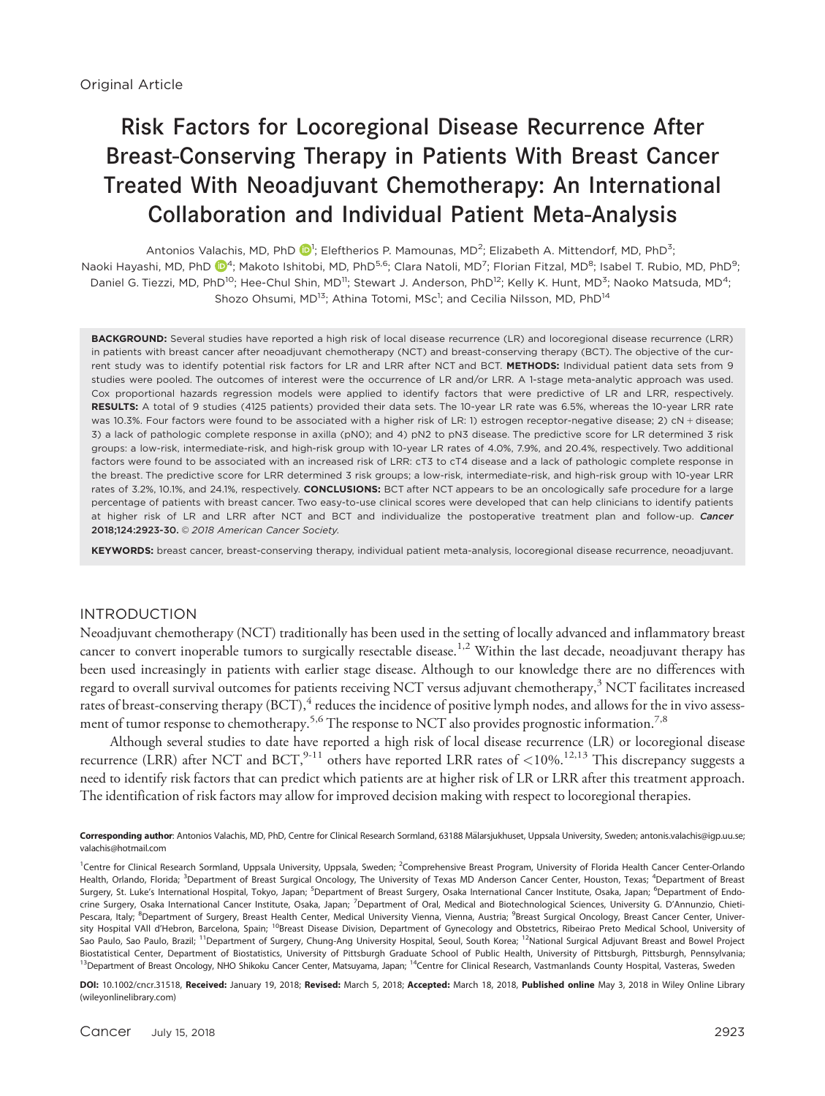# Risk Factors for Locoregional Disease Recurrence After Breast-Conserving Therapy in Patients With Breast Cancer Treated With Neoadjuvant Chemotherapy: An International Collaboration and Individual Patient Meta-Analysis

Antonios Valachis, MD, PhD  $\bigcirc$ , Eleftherios P. Mamounas, MD<sup>2</sup>; Elizabeth A. Mittendorf, MD, PhD<sup>3</sup>; Naoki Hayashi, MD, PhD  $\bar{\mathbb{Q}}^4$  $\bar{\mathbb{Q}}^4$ ; Makoto Ishitobi, MD, PhD $^{5,6}$ ; Clara Natoli, MD $^7$ ; Florian Fitzal, MD $^{8}$ ; Isabel T. Rubio, MD, PhD $^{9}$ ; Daniel G. Tiezzi, MD, PhD<sup>10</sup>; Hee-Chul Shin, MD<sup>11</sup>; Stewart J. Anderson, PhD<sup>12</sup>; Kelly K. Hunt, MD<sup>3</sup>; Naoko Matsuda, MD<sup>4</sup>; Shozo Ohsumi, MD<sup>13</sup>; Athina Totomi, MSc<sup>1</sup>; and Cecilia Nilsson, MD, PhD<sup>14</sup>

BACKGROUND: Several studies have reported a high risk of local disease recurrence (LR) and locoregional disease recurrence (LRR) in patients with breast cancer after neoadjuvant chemotherapy (NCT) and breast-conserving therapy (BCT). The objective of the current study was to identify potential risk factors for LR and LRR after NCT and BCT. METHODS: Individual patient data sets from 9 studies were pooled. The outcomes of interest were the occurrence of LR and/or LRR. A 1-stage meta-analytic approach was used. Cox proportional hazards regression models were applied to identify factors that were predictive of LR and LRR, respectively. RESULTS: A total of 9 studies (4125 patients) provided their data sets. The 10-year LR rate was 6.5%, whereas the 10-year LRR rate was 10.3%. Four factors were found to be associated with a higher risk of LR: 1) estrogen receptor-negative disease; 2) cN + disease; 3) a lack of pathologic complete response in axilla (pN0); and 4) pN2 to pN3 disease. The predictive score for LR determined 3 risk groups: a low-risk, intermediate-risk, and high-risk group with 10-year LR rates of 4.0%, 7.9%, and 20.4%, respectively. Two additional factors were found to be associated with an increased risk of LRR: cT3 to cT4 disease and a lack of pathologic complete response in the breast. The predictive score for LRR determined 3 risk groups; a low-risk, intermediate-risk, and high-risk group with 10-year LRR rates of 3.2%, 10.1%, and 24.1%, respectively. CONCLUSIONS: BCT after NCT appears to be an oncologically safe procedure for a large percentage of patients with breast cancer. Two easy-to-use clinical scores were developed that can help clinicians to identify patients at higher risk of LR and LRR after NCT and BCT and individualize the postoperative treatment plan and follow-up. Cancer 2018;124:2923-30. 2018 American Cancer Society.

KEYWORDS: breast cancer, breast-conserving therapy, individual patient meta-analysis, locoregional disease recurrence, neoadjuvant.

#### INTRODUCTION

Neoadjuvant chemotherapy (NCT) traditionally has been used in the setting of locally advanced and inflammatory breast cancer to convert inoperable tumors to surgically resectable disease.<sup>1,2</sup> Within the last decade, neoadjuvant therapy has been used increasingly in patients with earlier stage disease. Although to our knowledge there are no differences with regard to overall survival outcomes for patients receiving NCT versus adjuvant chemotherapy, $3$  NCT facilitates increased rates of breast-conserving therapy  $(BCT)$ , <sup>4</sup> reduces the incidence of positive lymph nodes, and allows for the in vivo assessment of tumor response to chemotherapy.<sup>5,6</sup> The response to NCT also provides prognostic information.<sup>7,8</sup>

Although several studies to date have reported a high risk of local disease recurrence (LR) or locoregional disease recurrence (LRR) after NCT and BCT, <sup>9-11</sup> others have reported LRR rates of <10%.<sup>12,13</sup> This discrepancy suggests a need to identify risk factors that can predict which patients are at higher risk of LR or LRR after this treatment approach. The identification of risk factors may allow for improved decision making with respect to locoregional therapies.

Corresponding author: Antonios Valachis, MD, PhD, Centre for Clinical Research Sormland, 63188 Mälarsjukhuset, Uppsala University, Sweden; antonis.valachis@igp.uu.se; valachis@hotmail.com

<sup>1</sup>Centre for Clinical Research Sormland, Uppsala University, Uppsala, Sweden; <sup>2</sup>Comprehensive Breast Program, University of Florida Health Cancer Center-Orlando Health, Orlando, Florida; <sup>3</sup>Department of Breast Surgical Oncology, The University of Texas MD Anderson Cancer Center, Houston, Texas; <sup>4</sup>Department of Breast Surgery, St. Luke's International Hospital, Tokyo, Japan; <sup>5</sup>Department of Breast Surgery, Osaka International Cancer Institute, Osaka, Japan; <sup>6</sup>Department of Endocrine Surgery, Osaka International Cancer Institute, Osaka, Japan; <sup>7</sup>Department of Oral, Medical and Biotechnological Sciences, University G. D'Annunzio, Chieti-Pescara, Italy; <sup>8</sup>Department of Surgery, Breast Health Center, Medical University Vienna, Vienna, Austria; <sup>9</sup>Breast Surgical Oncology, Breast Cancer Center, University Hospital VAII d'Hebron, Barcelona, Spain; <sup>10</sup>Breast Disease Division, Department of Gynecology and Obstetrics, Ribeirao Preto Medical School, University of Sao Paulo, Sao Paulo, Brazil; <sup>11</sup>Department of Surgery, Chung-Ang University Hospital, Seoul, South Korea; <sup>12</sup>National Surgical Adjuvant Breast and Bowel Project Biostatistical Center, Department of Biostatistics, University of Pittsburgh Graduate School of Public Health, University of Pittsburgh, Pittsburgh, Pennsylvania; <sup>13</sup>Department of Breast Oncology, NHO Shikoku Cancer Center, Matsuyama, Japan; <sup>14</sup>Centre for Clinical Research, Vastmanlands County Hospital, Vasteras, Sweden

DOI: 10.1002/cncr.31518, Received: January 19, 2018; Revised: March 5, 2018; Accepted: March 18, 2018, Published online May 3, 2018 in Wiley Online Library (wileyonlinelibrary.com)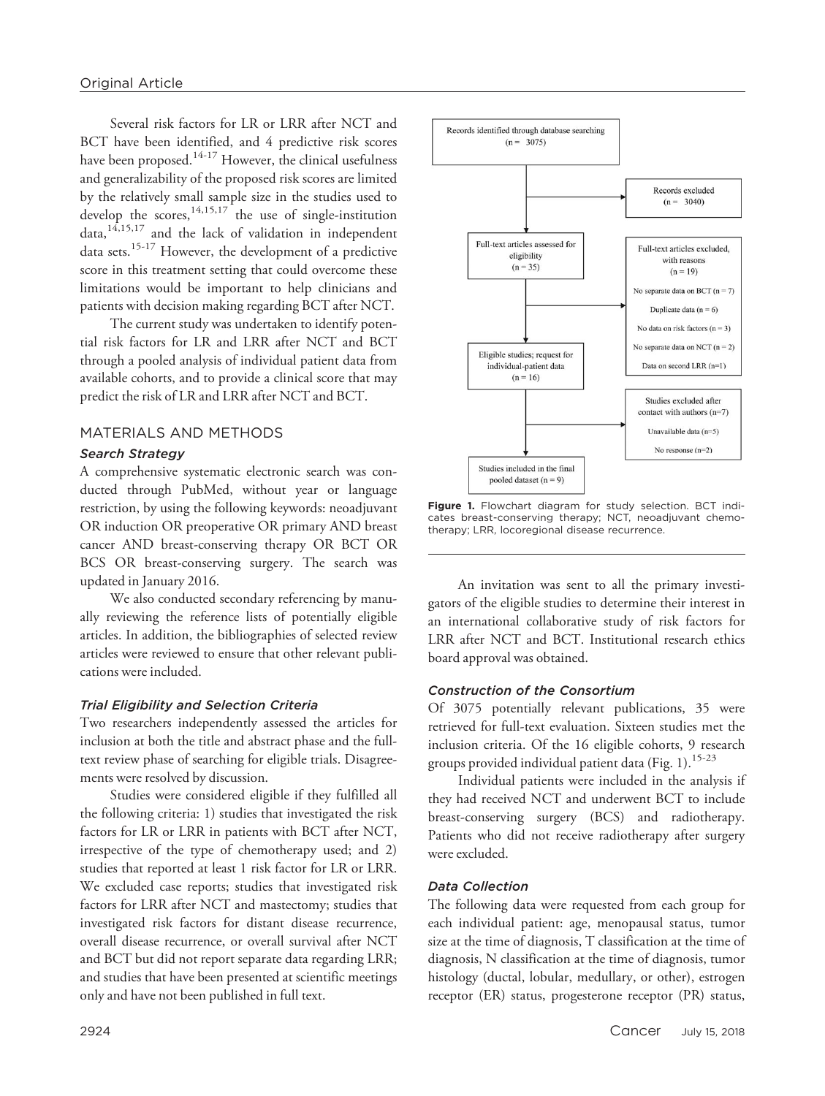Several risk factors for LR or LRR after NCT and BCT have been identified, and 4 predictive risk scores have been proposed.<sup>14-17</sup> However, the clinical usefulness and generalizability of the proposed risk scores are limited by the relatively small sample size in the studies used to develop the scores,  $14,15,17$  the use of single-institution data,  $14,15,17$  and the lack of validation in independent data sets.<sup>15-17</sup> However, the development of a predictive score in this treatment setting that could overcome these limitations would be important to help clinicians and patients with decision making regarding BCT after NCT.

The current study was undertaken to identify potential risk factors for LR and LRR after NCT and BCT through a pooled analysis of individual patient data from available cohorts, and to provide a clinical score that may predict the risk of LR and LRR after NCT and BCT.

## MATERIALS AND METHODS

## Search Strategy

A comprehensive systematic electronic search was conducted through PubMed, without year or language restriction, by using the following keywords: neoadjuvant OR induction OR preoperative OR primary AND breast cancer AND breast-conserving therapy OR BCT OR BCS OR breast-conserving surgery. The search was updated in January 2016.

We also conducted secondary referencing by manually reviewing the reference lists of potentially eligible articles. In addition, the bibliographies of selected review articles were reviewed to ensure that other relevant publications were included.

## Trial Eligibility and Selection Criteria

Two researchers independently assessed the articles for inclusion at both the title and abstract phase and the fulltext review phase of searching for eligible trials. Disagreements were resolved by discussion.

Studies were considered eligible if they fulfilled all the following criteria: 1) studies that investigated the risk factors for LR or LRR in patients with BCT after NCT, irrespective of the type of chemotherapy used; and 2) studies that reported at least 1 risk factor for LR or LRR. We excluded case reports; studies that investigated risk factors for LRR after NCT and mastectomy; studies that investigated risk factors for distant disease recurrence, overall disease recurrence, or overall survival after NCT and BCT but did not report separate data regarding LRR; and studies that have been presented at scientific meetings only and have not been published in full text.



Figure 1. Flowchart diagram for study selection. BCT indicates breast-conserving therapy; NCT, neoadjuvant chemotherapy; LRR, locoregional disease recurrence.

An invitation was sent to all the primary investigators of the eligible studies to determine their interest in an international collaborative study of risk factors for LRR after NCT and BCT. Institutional research ethics board approval was obtained.

#### Construction of the Consortium

Of 3075 potentially relevant publications, 35 were retrieved for full-text evaluation. Sixteen studies met the inclusion criteria. Of the 16 eligible cohorts, 9 research groups provided individual patient data (Fig.  $1$ ).<sup>15-23</sup>

Individual patients were included in the analysis if they had received NCT and underwent BCT to include breast-conserving surgery (BCS) and radiotherapy. Patients who did not receive radiotherapy after surgery were excluded.

## Data Collection

The following data were requested from each group for each individual patient: age, menopausal status, tumor size at the time of diagnosis, T classification at the time of diagnosis, N classification at the time of diagnosis, tumor histology (ductal, lobular, medullary, or other), estrogen receptor (ER) status, progesterone receptor (PR) status,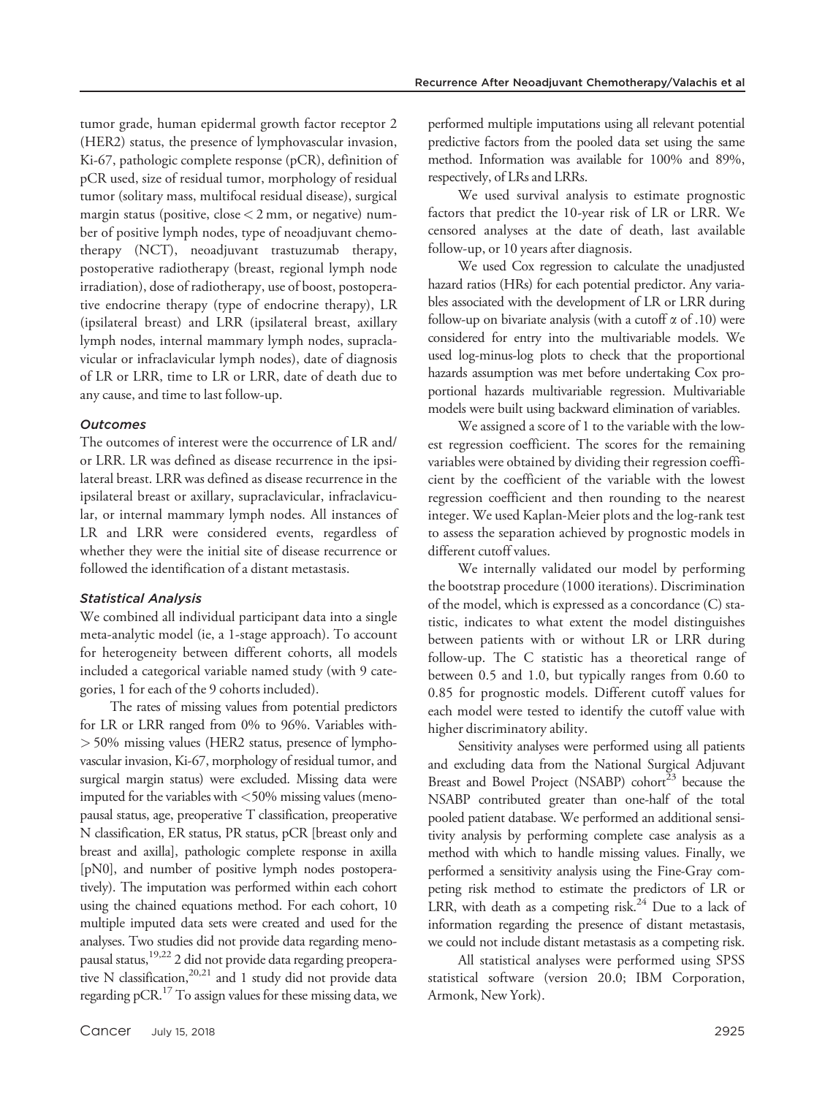tumor grade, human epidermal growth factor receptor 2 (HER2) status, the presence of lymphovascular invasion, Ki-67, pathologic complete response (pCR), definition of pCR used, size of residual tumor, morphology of residual tumor (solitary mass, multifocal residual disease), surgical margin status (positive, close  $<$  2 mm, or negative) number of positive lymph nodes, type of neoadjuvant chemotherapy (NCT), neoadjuvant trastuzumab therapy, postoperative radiotherapy (breast, regional lymph node irradiation), dose of radiotherapy, use of boost, postoperative endocrine therapy (type of endocrine therapy), LR (ipsilateral breast) and LRR (ipsilateral breast, axillary lymph nodes, internal mammary lymph nodes, supraclavicular or infraclavicular lymph nodes), date of diagnosis of LR or LRR, time to LR or LRR, date of death due to any cause, and time to last follow-up.

## **Outcomes**

The outcomes of interest were the occurrence of LR and/ or LRR. LR was defined as disease recurrence in the ipsilateral breast. LRR was defined as disease recurrence in the ipsilateral breast or axillary, supraclavicular, infraclavicular, or internal mammary lymph nodes. All instances of LR and LRR were considered events, regardless of whether they were the initial site of disease recurrence or followed the identification of a distant metastasis.

#### Statistical Analysis

We combined all individual participant data into a single meta-analytic model (ie, a 1-stage approach). To account for heterogeneity between different cohorts, all models included a categorical variable named study (with 9 categories, 1 for each of the 9 cohorts included).

The rates of missing values from potential predictors for LR or LRR ranged from 0% to 96%. Variables with- > 50% missing values (HER2 status, presence of lymphovascular invasion, Ki-67, morphology of residual tumor, and surgical margin status) were excluded. Missing data were imputed for the variables with <50% missing values (menopausal status, age, preoperative T classification, preoperative N classification, ER status, PR status, pCR [breast only and breast and axilla], pathologic complete response in axilla [pN0], and number of positive lymph nodes postoperatively). The imputation was performed within each cohort using the chained equations method. For each cohort, 10 multiple imputed data sets were created and used for the analyses. Two studies did not provide data regarding menopausal status,19,22 2 did not provide data regarding preoperative N classification,  $20,21$  and 1 study did not provide data regarding pCR.17 To assign values for these missing data, we

performed multiple imputations using all relevant potential predictive factors from the pooled data set using the same method. Information was available for 100% and 89%, respectively, of LRs and LRRs.

We used survival analysis to estimate prognostic factors that predict the 10-year risk of LR or LRR. We censored analyses at the date of death, last available follow-up, or 10 years after diagnosis.

We used Cox regression to calculate the unadjusted hazard ratios (HRs) for each potential predictor. Any variables associated with the development of LR or LRR during follow-up on bivariate analysis (with a cutoff  $\alpha$  of .10) were considered for entry into the multivariable models. We used log-minus-log plots to check that the proportional hazards assumption was met before undertaking Cox proportional hazards multivariable regression. Multivariable models were built using backward elimination of variables.

We assigned a score of 1 to the variable with the lowest regression coefficient. The scores for the remaining variables were obtained by dividing their regression coefficient by the coefficient of the variable with the lowest regression coefficient and then rounding to the nearest integer. We used Kaplan-Meier plots and the log-rank test to assess the separation achieved by prognostic models in different cutoff values.

We internally validated our model by performing the bootstrap procedure (1000 iterations). Discrimination of the model, which is expressed as a concordance (C) statistic, indicates to what extent the model distinguishes between patients with or without LR or LRR during follow-up. The C statistic has a theoretical range of between 0.5 and 1.0, but typically ranges from 0.60 to 0.85 for prognostic models. Different cutoff values for each model were tested to identify the cutoff value with higher discriminatory ability.

Sensitivity analyses were performed using all patients and excluding data from the National Surgical Adjuvant Breast and Bowel Project (NSABP) cohort<sup>23</sup> because the NSABP contributed greater than one-half of the total pooled patient database. We performed an additional sensitivity analysis by performing complete case analysis as a method with which to handle missing values. Finally, we performed a sensitivity analysis using the Fine-Gray competing risk method to estimate the predictors of LR or LRR, with death as a competing risk.<sup>24</sup> Due to a lack of information regarding the presence of distant metastasis, we could not include distant metastasis as a competing risk.

All statistical analyses were performed using SPSS statistical software (version 20.0; IBM Corporation, Armonk, New York).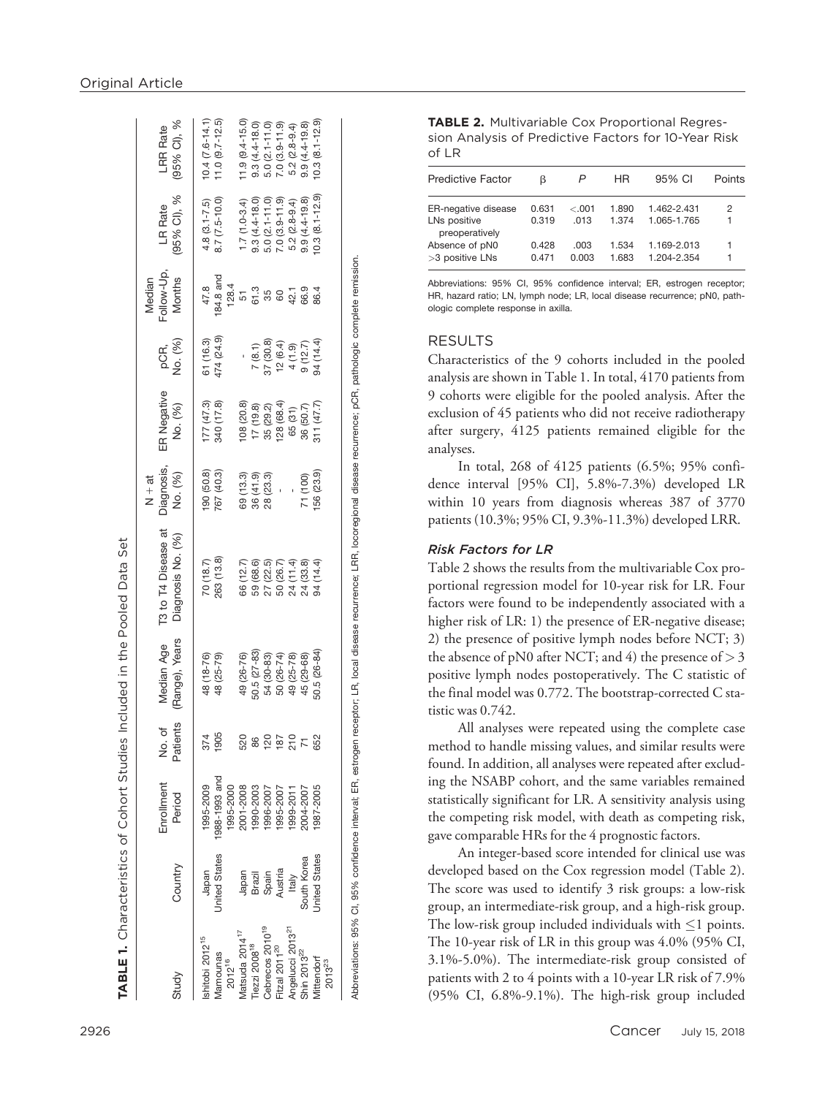|                                                              |                                     |               |           |                          |                                                               | $N + at$                 |                          |                                                                                                      | Median    |                                  |                                            |
|--------------------------------------------------------------|-------------------------------------|---------------|-----------|--------------------------|---------------------------------------------------------------|--------------------------|--------------------------|------------------------------------------------------------------------------------------------------|-----------|----------------------------------|--------------------------------------------|
|                                                              |                                     | inrollment    | No. of    | Median Age               | T3 to T4 Disease at                                           | Diagnosis,               | ER Negative              |                                                                                                      | ollow-Up, | LR Rate                          | <b>LRR</b> Rate                            |
| Study                                                        | Country                             | Period        | Patients  | (Range), Years           | Diagnosis No. (%)                                             | No. (%)                  | No. (%)                  | pCR,<br>No. (%)                                                                                      | Months    | (95% CI), %                      | (95% CI), %                                |
| shitobi 2012 <sup>15</sup>                                   | Japan                               | 1995-2009     | 374       | 48 (18-76)               | 70(18.7)                                                      |                          |                          |                                                                                                      | 47.8      | $4.8(3.1 - 7.5)$                 |                                            |
|                                                              | Inited States                       | 1988-1993 and | 1905      | 48 (25-79)               | 263 (13.8)                                                    | 190 (50.8)<br>767 (40.3) | 177 (47.3)<br>340 (17.8) | 61 (16.3)<br>474 (24.9)                                                                              | 84.8 and  | 8.7 (7.5-10.0)                   | $10.4$ $(7.6-14.1)$<br>$11.0$ $(9.7-12.5)$ |
|                                                              |                                     | 1995-2000     |           |                          |                                                               |                          |                          |                                                                                                      | 128.4     |                                  |                                            |
| Mamounas<br>2012 <sup>16</sup><br>Matsuda 2014 <sup>17</sup> |                                     | 2001-2008     | 520       | 49 (26-76)               | 66 (12.7)                                                     | 69 (13.3)                | 108 (20.8)               |                                                                                                      | 51        | $1.7(1.0-3.4)$                   | $1.9(9.4 - 15.0)$                          |
| iezzi 2008 <sup>18</sup>                                     |                                     | 1990-2003     |           | $50.5 (27 - 83)$         | 59 (68.6)                                                     |                          | 17 (19.8)                |                                                                                                      | 61.3      | $9.3(4.4 - 18.0)$                |                                            |
| ebrecos 2010 <sup>19</sup>                                   | Japan<br>Brazil<br>Spain<br>Austria | 1996-2007     | <u>sa</u> |                          |                                                               | $36(41.9)$<br>$28(23.3)$ | 35 (29.2)<br>128 (68.4)  | $\begin{array}{c}\n7 (8.1) \\ 7 (30.8) \\ 12 (6.4) \\ 4 (1.9) \\ 9 (12.7) \\ 94 (14.4)\n\end{array}$ | 360400    | 5.0 (2.1-11.0)<br>7.0 (3.9-11.9) | $9.3(4.4 - 18.0)$<br>5.0 $(2.1 - 11.0)$    |
| itzal 2011 <sup>20</sup>                                     |                                     | 1995-2007     | 187       | 54 (30-83)<br>50 (26-74) |                                                               |                          |                          |                                                                                                      |           |                                  | $7.0(3.9 - 11.9)$                          |
| ngelucci 2013 <sup>21</sup>                                  | Italy                               | 1999-2011     | 이<br>210  | 49 (25-78)               |                                                               |                          | 65 (31)                  |                                                                                                      |           | $5.2(2.8-9.4)$                   | $5.2(2.8-9.4)$                             |
| hin 2013 <sup>22</sup>                                       | South Korea                         | 004-2007      |           | 45 (29-68)               | 27 (22.5)<br>50 (26.7)<br>50 (33.8)<br>24 (34.4)<br>94 (14.4) | 71 (100)                 | 36 (50.7)                |                                                                                                      |           | $9.9(4.4 - 19.8)$                | $9.9(4.4 - 19.8)$                          |
| <b>littendorf</b><br>$2013^{23}$                             | <b>Jnited States</b>                | 987-2005      | 652       | $0.5(26-84)$             |                                                               | 56 (23.9)                | 311(47.7)                |                                                                                                      | 86.4      | $0.3(8.1 - 12.9)$                | $0.3 (8.1 - 12.9)$                         |
|                                                              |                                     |               |           |                          |                                                               |                          |                          |                                                                                                      |           |                                  |                                            |

Abbreviations: 95% CI, 95% confidence interval; ER, estrogen receptor; LR, local disease recurrence; LRR, locoregional disease recurrence; pCR, pathologic complete remission.

Abbreviations: 95% CI, 95% confidence interval; ER, estrogen receptor; LR, local disease recurrence; LRR, locoregional disease recurrence; pCR, pathologic complete remission.

TABLE 2. Multivariable Cox Proportional Regression Analysis of Predictive Factors for 10-Year Risk of LR

| <b>Predictive Factor</b>          | ß              | P             | HR.            | 95% CI                     | Points |
|-----------------------------------|----------------|---------------|----------------|----------------------------|--------|
| <b>ER-negative disease</b>        | 0.631          | $-.001$       | 1.890          | 1.462-2.431                | 2      |
| LNs positive<br>preoperatively    | 0.319          | .013          | 1.374          | 1.065-1.765                |        |
| Absence of pN0<br>>3 positive LNs | 0.428<br>0.471 | .003<br>0.003 | 1.534<br>1.683 | 1.169-2.013<br>1.204-2.354 |        |

Abbreviations: 95% CI, 95% confidence interval; ER, estrogen receptor; HR, hazard ratio; LN, lymph node; LR, local disease recurrence; pN0, pathologic complete response in axilla.

## RESULTS

Characteristics of the 9 cohorts included in the pooled analysis are shown in Table 1. In total, 4170 patients from 9 cohorts were eligible for the pooled analysis. After the exclusion of 45 patients who did not receive radiotherapy after surgery, 4125 patients remained eligible for the analyses.

In total, 268 of 4125 patients (6.5%; 95% confidence interval [95% CI], 5.8%-7.3%) developed LR within 10 years from diagnosis whereas 387 of 3770 patients (10.3%; 95% CI, 9.3%-11.3%) developed LRR.

## Risk Factors for LR

Table 2 shows the results from the multivariable Cox proportional regression model for 10-year risk for LR. Four factors were found to be independently associated with a higher risk of LR: 1) the presence of ER-negative disease; 2) the presence of positive lymph nodes before NCT; 3) the absence of pN0 after NCT; and 4) the presence of  $>$  3 positive lymph nodes postoperatively. The C statistic of the final model was 0.772. The bootstrap-corrected C statistic was 0.742.

All analyses were repeated using the complete case method to handle missing values, and similar results were found. In addition, all analyses were repeated after excluding the NSABP cohort, and the same variables remained statistically significant for LR. A sensitivity analysis using the competing risk model, with death as competing risk, gave comparable HRs for the 4 prognostic factors.

An integer-based score intended for clinical use was developed based on the Cox regression model (Table 2). The score was used to identify 3 risk groups: a low-risk group, an intermediate-risk group, and a high-risk group. The low-risk group included individuals with  $\leq$ 1 points. The 10-year risk of LR in this group was 4.0% (95% CI, 3.1%-5.0%). The intermediate-risk group consisted of patients with 2 to 4 points with a 10-year LR risk of 7.9% (95% CI, 6.8%-9.1%). The high-risk group included

TABLE 1.

Characteristics of Cohort Studies Included in the Pooled Data Set

**TABLE 1.** Characteristics of Cohort Studies Included in the Pooled Data Set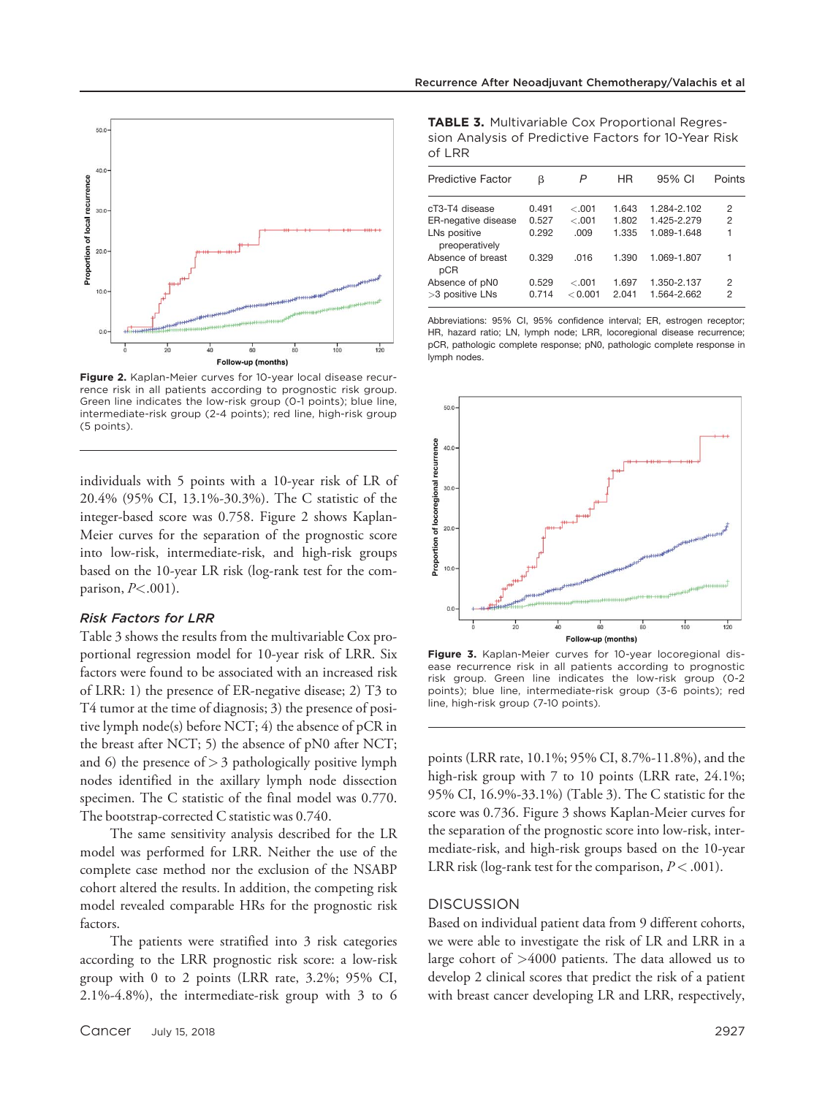



Figure 2. Kaplan-Meier curves for 10-year local disease recurrence risk in all patients according to prognostic risk group. Green line indicates the low-risk group (0-1 points); blue line, intermediate-risk group (2-4 points); red line, high-risk group (5 points).

individuals with 5 points with a 10-year risk of LR of 20.4% (95% CI, 13.1%-30.3%). The C statistic of the integer-based score was 0.758. Figure 2 shows Kaplan-Meier curves for the separation of the prognostic score into low-risk, intermediate-risk, and high-risk groups based on the 10-year LR risk (log-rank test for the comparison,  $P<.001$ ).

#### Risk Factors for LRR

Table 3 shows the results from the multivariable Cox proportional regression model for 10-year risk of LRR. Six factors were found to be associated with an increased risk of LRR: 1) the presence of ER-negative disease; 2) T3 to T4 tumor at the time of diagnosis; 3) the presence of positive lymph node(s) before NCT; 4) the absence of pCR in the breast after NCT; 5) the absence of pN0 after NCT; and 6) the presence of  $> 3$  pathologically positive lymph nodes identified in the axillary lymph node dissection specimen. The C statistic of the final model was 0.770. The bootstrap-corrected C statistic was 0.740.

The same sensitivity analysis described for the LR model was performed for LRR. Neither the use of the complete case method nor the exclusion of the NSABP cohort altered the results. In addition, the competing risk model revealed comparable HRs for the prognostic risk factors.

The patients were stratified into 3 risk categories according to the LRR prognostic risk score: a low-risk group with 0 to 2 points (LRR rate, 3.2%; 95% CI, 2.1%-4.8%), the intermediate-risk group with 3 to 6

**TABLE 3.** Multivariable Cox Proportional Regression Analysis of Predictive Factors for 10-Year Risk of LRR

| <b>Predictive Factor</b>          | β              | P                  | ΗR             | 95% CI                     | Points |
|-----------------------------------|----------------|--------------------|----------------|----------------------------|--------|
| cT3-T4 disease                    | 0.491          | $-.001$            | 1.643          | 1.284-2.102                | 2      |
| ER-negative disease               | 0.527          | $-.001$            | 1.802          | 1.425-2.279                | 2      |
| LNs positive<br>preoperatively    | 0.292          | .009               | 1.335          | 1.089-1.648                | 1      |
| Absence of breast<br>pCR          | 0.329          | .016               | 1.390          | 1.069-1.807                |        |
| Absence of pN0<br>>3 positive LNs | 0.529<br>0.714 | $-.001$<br>< 0.001 | 1.697<br>2.041 | 1.350-2.137<br>1.564-2.662 | 2<br>2 |

Abbreviations: 95% CI, 95% confidence interval; ER, estrogen receptor; HR, hazard ratio; LN, lymph node; LRR, locoregional disease recurrence; pCR, pathologic complete response; pN0, pathologic complete response in lymph nodes.



Figure 3. Kaplan-Meier curves for 10-year locoregional disease recurrence risk in all patients according to prognostic risk group. Green line indicates the low-risk group (0-2 points); blue line, intermediate-risk group (3-6 points); red line, high-risk group (7-10 points).

points (LRR rate, 10.1%; 95% CI, 8.7%-11.8%), and the high-risk group with 7 to 10 points (LRR rate, 24.1%; 95% CI, 16.9%-33.1%) (Table 3). The C statistic for the score was 0.736. Figure 3 shows Kaplan-Meier curves for the separation of the prognostic score into low-risk, intermediate-risk, and high-risk groups based on the 10-year LRR risk (log-rank test for the comparison,  $P < .001$ ).

#### **DISCUSSION**

Based on individual patient data from 9 different cohorts, we were able to investigate the risk of LR and LRR in a large cohort of >4000 patients. The data allowed us to develop 2 clinical scores that predict the risk of a patient with breast cancer developing LR and LRR, respectively,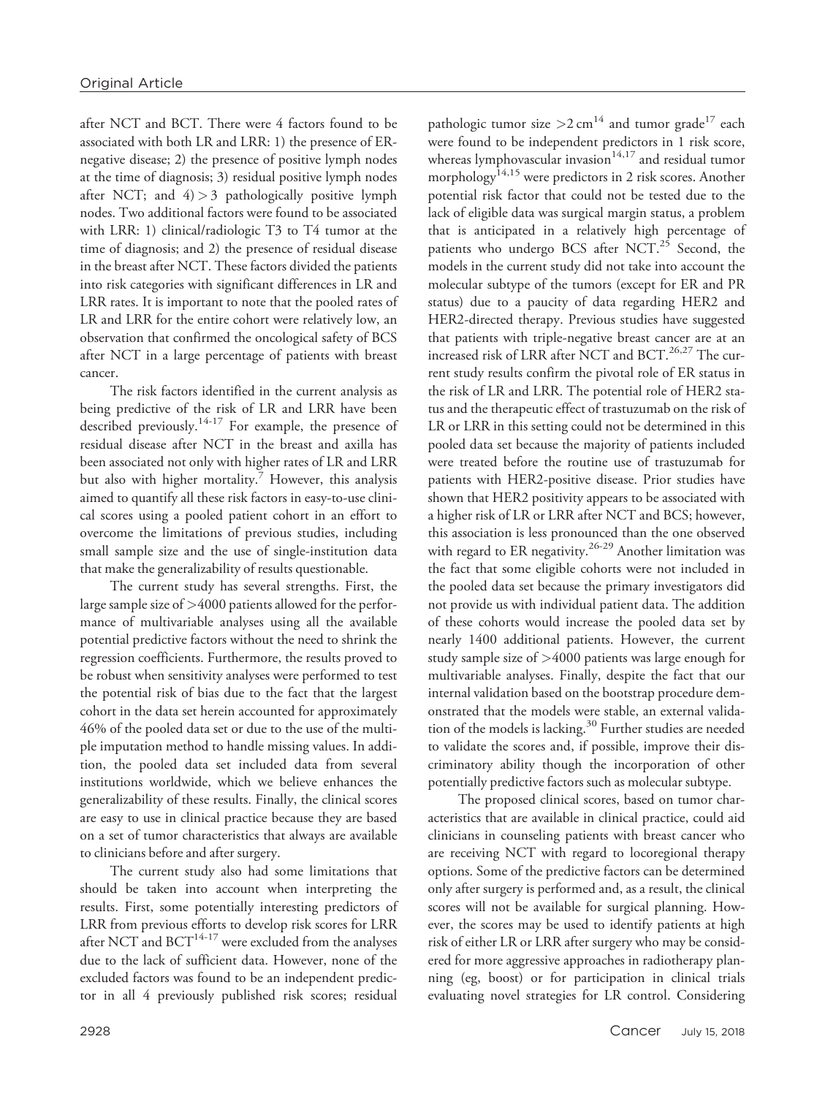after NCT and BCT. There were 4 factors found to be associated with both LR and LRR: 1) the presence of ERnegative disease; 2) the presence of positive lymph nodes at the time of diagnosis; 3) residual positive lymph nodes after NCT; and  $4$ ) > 3 pathologically positive lymph nodes. Two additional factors were found to be associated with LRR: 1) clinical/radiologic T3 to T4 tumor at the time of diagnosis; and 2) the presence of residual disease in the breast after NCT. These factors divided the patients into risk categories with significant differences in LR and LRR rates. It is important to note that the pooled rates of LR and LRR for the entire cohort were relatively low, an observation that confirmed the oncological safety of BCS after NCT in a large percentage of patients with breast cancer.

The risk factors identified in the current analysis as being predictive of the risk of LR and LRR have been described previously.<sup>14-17</sup> For example, the presence of residual disease after NCT in the breast and axilla has been associated not only with higher rates of LR and LRR but also with higher mortality.<sup>7</sup> However, this analysis aimed to quantify all these risk factors in easy-to-use clinical scores using a pooled patient cohort in an effort to overcome the limitations of previous studies, including small sample size and the use of single-institution data that make the generalizability of results questionable.

The current study has several strengths. First, the large sample size of >4000 patients allowed for the performance of multivariable analyses using all the available potential predictive factors without the need to shrink the regression coefficients. Furthermore, the results proved to be robust when sensitivity analyses were performed to test the potential risk of bias due to the fact that the largest cohort in the data set herein accounted for approximately 46% of the pooled data set or due to the use of the multiple imputation method to handle missing values. In addition, the pooled data set included data from several institutions worldwide, which we believe enhances the generalizability of these results. Finally, the clinical scores are easy to use in clinical practice because they are based on a set of tumor characteristics that always are available to clinicians before and after surgery.

The current study also had some limitations that should be taken into account when interpreting the results. First, some potentially interesting predictors of LRR from previous efforts to develop risk scores for LRR after NCT and  $BCT^{14-17}$  were excluded from the analyses due to the lack of sufficient data. However, none of the excluded factors was found to be an independent predictor in all 4 previously published risk scores; residual pathologic tumor size  $>2$  cm<sup>14</sup> and tumor grade<sup>17</sup> each were found to be independent predictors in 1 risk score, whereas lymphovascular invasion $14,17$  and residual tumor morphology<sup>14,15</sup> were predictors in 2 risk scores. Another potential risk factor that could not be tested due to the lack of eligible data was surgical margin status, a problem that is anticipated in a relatively high percentage of patients who undergo BCS after NCT.<sup>25</sup> Second, the models in the current study did not take into account the molecular subtype of the tumors (except for ER and PR status) due to a paucity of data regarding HER2 and HER2-directed therapy. Previous studies have suggested that patients with triple-negative breast cancer are at an increased risk of LRR after NCT and BCT.<sup>26,27</sup> The current study results confirm the pivotal role of ER status in the risk of LR and LRR. The potential role of HER2 status and the therapeutic effect of trastuzumab on the risk of LR or LRR in this setting could not be determined in this pooled data set because the majority of patients included were treated before the routine use of trastuzumab for patients with HER2-positive disease. Prior studies have shown that HER2 positivity appears to be associated with a higher risk of LR or LRR after NCT and BCS; however, this association is less pronounced than the one observed with regard to ER negativity.<sup>26-29</sup> Another limitation was the fact that some eligible cohorts were not included in the pooled data set because the primary investigators did not provide us with individual patient data. The addition of these cohorts would increase the pooled data set by nearly 1400 additional patients. However, the current study sample size of >4000 patients was large enough for multivariable analyses. Finally, despite the fact that our internal validation based on the bootstrap procedure demonstrated that the models were stable, an external validation of the models is lacking.<sup>30</sup> Further studies are needed to validate the scores and, if possible, improve their discriminatory ability though the incorporation of other potentially predictive factors such as molecular subtype.

The proposed clinical scores, based on tumor characteristics that are available in clinical practice, could aid clinicians in counseling patients with breast cancer who are receiving NCT with regard to locoregional therapy options. Some of the predictive factors can be determined only after surgery is performed and, as a result, the clinical scores will not be available for surgical planning. However, the scores may be used to identify patients at high risk of either LR or LRR after surgery who may be considered for more aggressive approaches in radiotherapy planning (eg, boost) or for participation in clinical trials evaluating novel strategies for LR control. Considering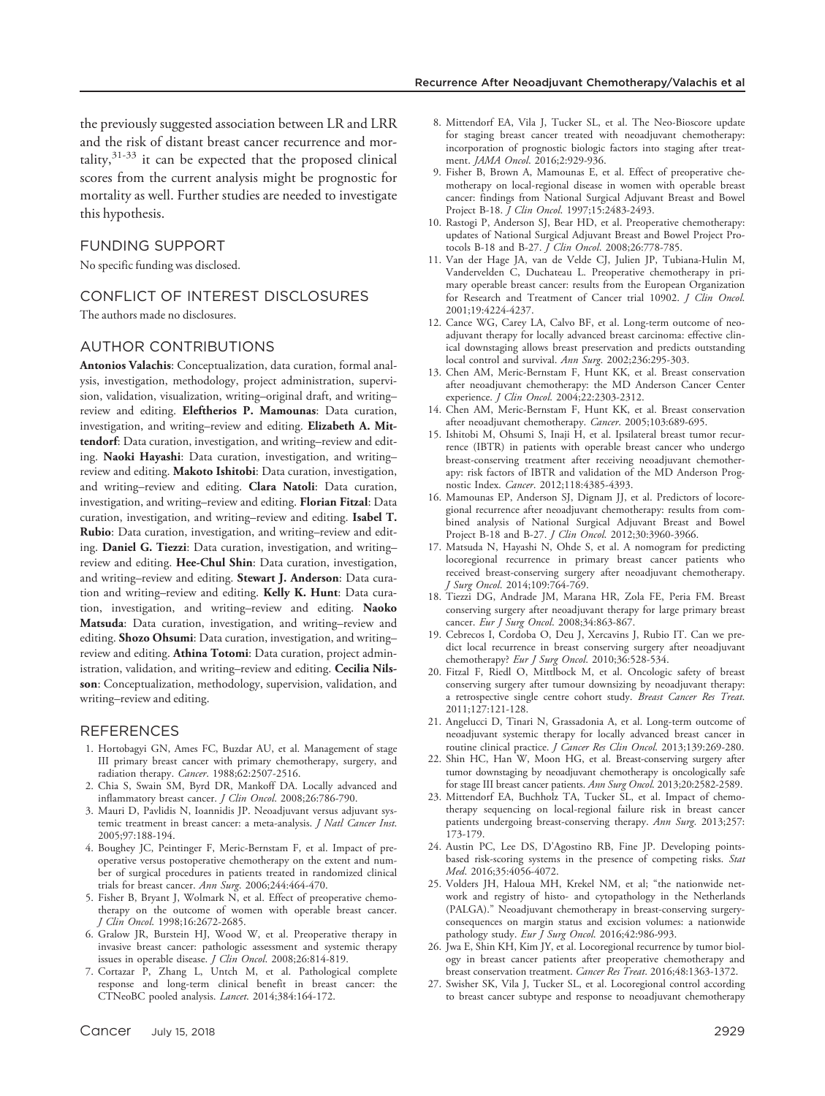the previously suggested association between LR and LRR and the risk of distant breast cancer recurrence and mor $tality$ ,  $31-33$  it can be expected that the proposed clinical scores from the current analysis might be prognostic for mortality as well. Further studies are needed to investigate this hypothesis.

## FUNDING SUPPORT

No specific funding was disclosed.

#### CONFLICT OF INTEREST DISCLOSURES

The authors made no disclosures.

#### AUTHOR CONTRIBUTIONS

Antonios Valachis: Conceptualization, data curation, formal analysis, investigation, methodology, project administration, supervision, validation, visualization, writing–original draft, and writing– review and editing. Eleftherios P. Mamounas: Data curation, investigation, and writing–review and editing. Elizabeth A. Mittendorf: Data curation, investigation, and writing–review and editing. Naoki Hayashi: Data curation, investigation, and writing– review and editing. Makoto Ishitobi: Data curation, investigation, and writing–review and editing. Clara Natoli: Data curation, investigation, and writing-review and editing. Florian Fitzal: Data curation, investigation, and writing–review and editing. Isabel T. Rubio: Data curation, investigation, and writing-review and editing. Daniel G. Tiezzi: Data curation, investigation, and writing– review and editing. Hee-Chul Shin: Data curation, investigation, and writing-review and editing. Stewart J. Anderson: Data curation and writing-review and editing. Kelly K. Hunt: Data curation, investigation, and writing–review and editing. Naoko Matsuda: Data curation, investigation, and writing-review and editing. Shozo Ohsumi: Data curation, investigation, and writingreview and editing. Athina Totomi: Data curation, project administration, validation, and writing-review and editing. Cecilia Nilsson: Conceptualization, methodology, supervision, validation, and writing–review and editing.

#### REFERENCES

- 1. Hortobagyi GN, Ames FC, Buzdar AU, et al. Management of stage III primary breast cancer with primary chemotherapy, surgery, and radiation therapy. Cancer. 1988;62:2507-2516.
- 2. Chia S, Swain SM, Byrd DR, Mankoff DA. Locally advanced and inflammatory breast cancer. *J Clin Oncol*. 2008;26:786-790.
- 3. Mauri D, Pavlidis N, Ioannidis JP. Neoadjuvant versus adjuvant systemic treatment in breast cancer: a meta-analysis. *J Natl Cancer Inst*. 2005;97:188-194.
- 4. Boughey JC, Peintinger F, Meric-Bernstam F, et al. Impact of preoperative versus postoperative chemotherapy on the extent and number of surgical procedures in patients treated in randomized clinical trials for breast cancer. Ann Surg. 2006;244:464-470.
- 5. Fisher B, Bryant J, Wolmark N, et al. Effect of preoperative chemotherapy on the outcome of women with operable breast cancer. J Clin Oncol. 1998;16:2672-2685.
- 6. Gralow JR, Burstein HJ, Wood W, et al. Preoperative therapy in invasive breast cancer: pathologic assessment and systemic therapy issues in operable disease. J Clin Oncol. 2008;26:814-819.
- 7. Cortazar P, Zhang L, Untch M, et al. Pathological complete response and long-term clinical benefit in breast cancer: the CTNeoBC pooled analysis. Lancet. 2014;384:164-172.
- 8. Mittendorf EA, Vila J, Tucker SL, et al. The Neo-Bioscore update for staging breast cancer treated with neoadjuvant chemotherapy: incorporation of prognostic biologic factors into staging after treatment. JAMA Oncol. 2016;2:929-936.
- 9. Fisher B, Brown A, Mamounas E, et al. Effect of preoperative chemotherapy on local-regional disease in women with operable breast cancer: findings from National Surgical Adjuvant Breast and Bowel Project B-18. J Clin Oncol. 1997;15:2483-2493.
- 10. Rastogi P, Anderson SJ, Bear HD, et al. Preoperative chemotherapy: updates of National Surgical Adjuvant Breast and Bowel Project Protocols B-18 and B-27. J Clin Oncol. 2008;26:778-785.
- 11. Van der Hage JA, van de Velde CJ, Julien JP, Tubiana-Hulin M, Vandervelden C, Duchateau L. Preoperative chemotherapy in primary operable breast cancer: results from the European Organization for Research and Treatment of Cancer trial 10902. J Clin Oncol. 2001;19:4224-4237.
- 12. Cance WG, Carey LA, Calvo BF, et al. Long-term outcome of neoadjuvant therapy for locally advanced breast carcinoma: effective clinical downstaging allows breast preservation and predicts outstanding local control and survival. Ann Surg. 2002;236:295-303.
- 13. Chen AM, Meric-Bernstam F, Hunt KK, et al. Breast conservation after neoadjuvant chemotherapy: the MD Anderson Cancer Center experience. J Clin Oncol. 2004;22:2303-2312.
- 14. Chen AM, Meric-Bernstam F, Hunt KK, et al. Breast conservation after neoadjuvant chemotherapy. Cancer. 2005;103:689-695.
- 15. Ishitobi M, Ohsumi S, Inaji H, et al. Ipsilateral breast tumor recurrence (IBTR) in patients with operable breast cancer who undergo breast-conserving treatment after receiving neoadjuvant chemotherapy: risk factors of IBTR and validation of the MD Anderson Prognostic Index. Cancer. 2012;118:4385-4393.
- 16. Mamounas EP, Anderson SJ, Dignam JJ, et al. Predictors of locoregional recurrence after neoadjuvant chemotherapy: results from combined analysis of National Surgical Adjuvant Breast and Bowel Project B-18 and B-27. J Clin Oncol. 2012;30:3960-3966.
- 17. Matsuda N, Hayashi N, Ohde S, et al. A nomogram for predicting locoregional recurrence in primary breast cancer patients who received breast-conserving surgery after neoadjuvant chemotherapy. J Surg Oncol. 2014;109:764-769.
- 18. Tiezzi DG, Andrade JM, Marana HR, Zola FE, Peria FM. Breast conserving surgery after neoadjuvant therapy for large primary breast cancer. Eur J Surg Oncol. 2008;34:863-867.
- 19. Cebrecos I, Cordoba O, Deu J, Xercavins J, Rubio IT. Can we predict local recurrence in breast conserving surgery after neoadjuvant chemotherapy? Eur J Surg Oncol. 2010;36:528-534.
- 20. Fitzal F, Riedl O, Mittlbock M, et al. Oncologic safety of breast conserving surgery after tumour downsizing by neoadjuvant therapy: a retrospective single centre cohort study. Breast Cancer Res Treat. 2011;127:121-128.
- 21. Angelucci D, Tinari N, Grassadonia A, et al. Long-term outcome of neoadjuvant systemic therapy for locally advanced breast cancer in routine clinical practice. J Cancer Res Clin Oncol. 2013;139:269-280.
- 22. Shin HC, Han W, Moon HG, et al. Breast-conserving surgery after tumor downstaging by neoadjuvant chemotherapy is oncologically safe for stage III breast cancer patients. Ann Surg Oncol. 2013;20:2582-2589.
- 23. Mittendorf EA, Buchholz TA, Tucker SL, et al. Impact of chemotherapy sequencing on local-regional failure risk in breast cancer patients undergoing breast-conserving therapy. Ann Surg. 2013;257: 173-179.
- 24. Austin PC, Lee DS, D'Agostino RB, Fine JP. Developing pointsbased risk-scoring systems in the presence of competing risks. Stat Med. 2016;35:4056-4072.
- 25. Volders JH, Haloua MH, Krekel NM, et al; "the nationwide network and registry of histo- and cytopathology in the Netherlands (PALGA)." Neoadjuvant chemotherapy in breast-conserving surgeryconsequences on margin status and excision volumes: a nationwide pathology study. Eur J Surg Oncol. 2016;42:986-993.
- 26. Jwa E, Shin KH, Kim JY, et al. Locoregional recurrence by tumor biology in breast cancer patients after preoperative chemotherapy and breast conservation treatment. Cancer Res Treat. 2016;48:1363-1372.
- 27. Swisher SK, Vila J, Tucker SL, et al. Locoregional control according to breast cancer subtype and response to neoadjuvant chemotherapy